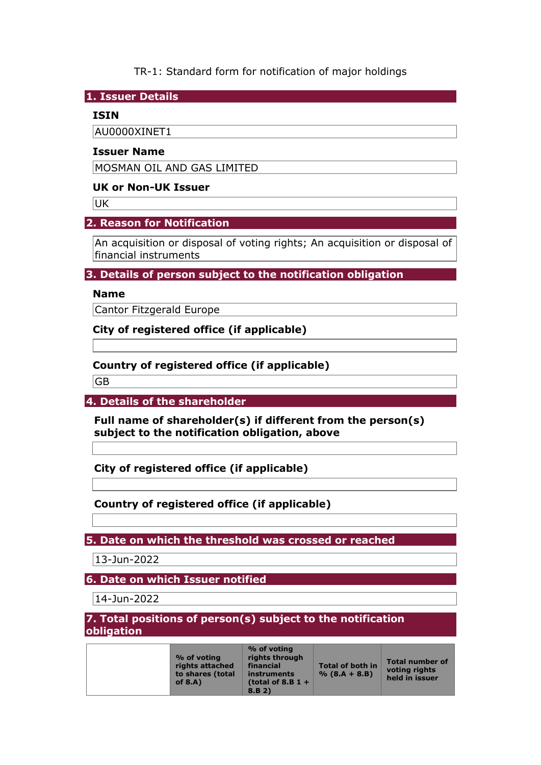TR-1: Standard form for notification of major holdings

**1. Issuer Details** 

## **ISIN**

AU0000XINET1

#### **Issuer Name**

MOSMAN OIL AND GAS LIMITED

## **UK or Non-UK Issuer**

**UK** 

# **2. Reason for Notification**

An acquisition or disposal of voting rights; An acquisition or disposal of financial instruments

# **3. Details of person subject to the notification obligation**

# **Name**

Cantor Fitzgerald Europe

**City of registered office (if applicable)** 

# **Country of registered office (if applicable)**

GB

**4. Details of the shareholder** 

**Full name of shareholder(s) if different from the person(s) subject to the notification obligation, above** 

**City of registered office (if applicable)** 

**Country of registered office (if applicable)** 

**5. Date on which the threshold was crossed or reached** 

13-Jun-2022

**6. Date on which Issuer notified**

14-Jun-2022

**7. Total positions of person(s) subject to the notification obligation** 

| % of voting<br>rights attached<br>to shares (total<br>of $8.A$ ) | % of voting<br>rights through<br>financial<br>instruments<br>(total of 8.B $1 +$<br>8.B 2) | <b>Total of both in</b><br>$% (8.A + 8.B)$ | <b>Total number of</b><br>voting rights<br>held in issuer |
|------------------------------------------------------------------|--------------------------------------------------------------------------------------------|--------------------------------------------|-----------------------------------------------------------|
|------------------------------------------------------------------|--------------------------------------------------------------------------------------------|--------------------------------------------|-----------------------------------------------------------|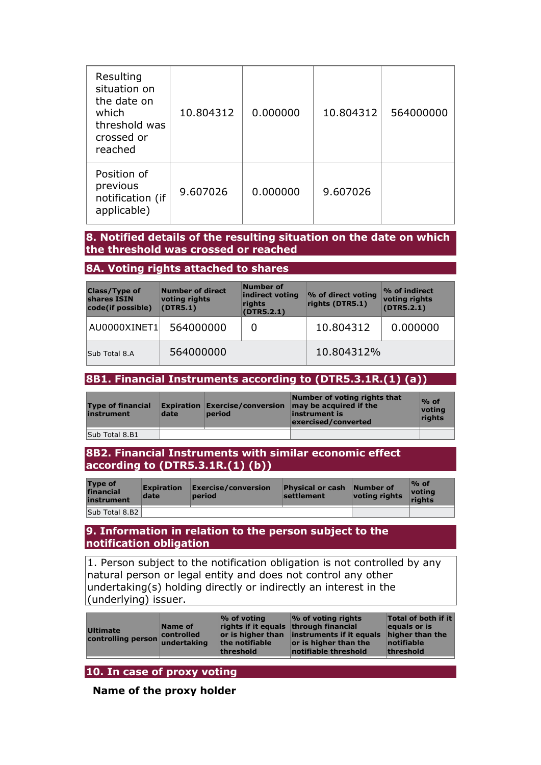| Resulting<br>situation on<br>the date on<br>which<br>threshold was<br>crossed or<br>reached | 10.804312 | 0.000000 | 10.804312 | 564000000 |
|---------------------------------------------------------------------------------------------|-----------|----------|-----------|-----------|
| Position of<br>previous<br>notification (if<br>applicable)                                  | 9.607026  | 0.000000 | 9.607026  |           |

## **8. Notified details of the resulting situation on the date on which the threshold was crossed or reached**

#### **8A. Voting rights attached to shares**

| Number of direct<br><b>Class/Type of</b><br>shares ISIN<br>voting rights<br>(DTR5.1)<br>code(if possible) |           | Number of<br>indirect voting<br>rights<br>(DTR5.2.1) | % of direct voting<br>rights (DTR5.1) | $\%$ of indirect<br>voting rights<br>(DTR5.2.1) |
|-----------------------------------------------------------------------------------------------------------|-----------|------------------------------------------------------|---------------------------------------|-------------------------------------------------|
| AU0000XINET1                                                                                              | 564000000 | 0                                                    | 10,804312                             | 0.000000                                        |
| Sub Total 8.A                                                                                             | 564000000 |                                                      | 10.804312%                            |                                                 |

# **8B1. Financial Instruments according to (DTR5.3.1R.(1) (a))**

| <b>Type of financial</b><br>instrument | date | <b>Expiration Exercise/conversion</b><br>period | Number of voting rights that<br>may be acquired if the<br>linstrument is<br>exercised/converted | $%$ of<br>votina<br>riahts |
|----------------------------------------|------|-------------------------------------------------|-------------------------------------------------------------------------------------------------|----------------------------|
| Sub Total 8.B1                         |      |                                                 |                                                                                                 |                            |

### **8B2. Financial Instruments with similar economic effect according to (DTR5.3.1R.(1) (b))**

| <b>Type of</b><br>financial<br>instrument | <b>Expiration</b><br>date | $\mathsf{Exercise}/\mathsf{conversion}$<br>period | <b>Physical or cash</b><br>settlement | Number of<br>voting rights | $\%$ of<br>votina<br>riahts |
|-------------------------------------------|---------------------------|---------------------------------------------------|---------------------------------------|----------------------------|-----------------------------|
| Sub Total 8.B2                            |                           |                                                   |                                       |                            |                             |

### **9. Information in relation to the person subject to the notification obligation**

1. Person subject to the notification obligation is not controlled by any natural person or legal entity and does not control any other undertaking(s) holding directly or indirectly an interest in the (underlying) issuer.

| Ultimate<br>controlling person undertaking | Name of<br><b>Controlled</b> | $\%$ of voting<br>rights if it equals through financial<br>the notifiable<br>threshold | $\frac{1}{2}$ of voting rights<br>or is higher than instruments if it equals<br>or is higher than the<br>notifiable threshold | Total of both if it<br>equals or is<br>higher than the<br>notifiable<br>threshold |
|--------------------------------------------|------------------------------|----------------------------------------------------------------------------------------|-------------------------------------------------------------------------------------------------------------------------------|-----------------------------------------------------------------------------------|
|                                            |                              |                                                                                        |                                                                                                                               |                                                                                   |

# **10. In case of proxy voting**

**Name of the proxy holder**